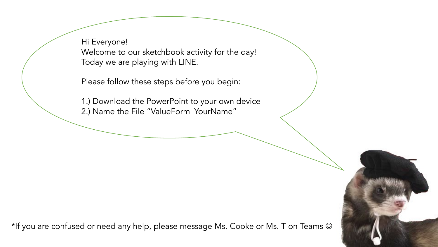Hi Everyone! Welcome to our sketchbook activity for the day! Today we are playing with LINE.

Please follow these steps before you begin:

1.) Download the PowerPoint to your own device 2.) Name the File "ValueForm\_YourName"

\*If you are confused or need any help, please message Ms. Cooke or Ms. T on Teams  $\odot$ 

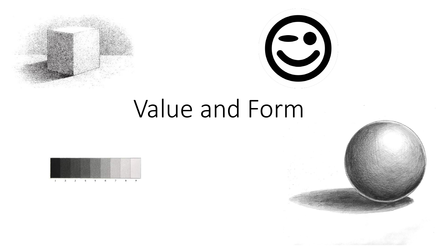



## Value and Form

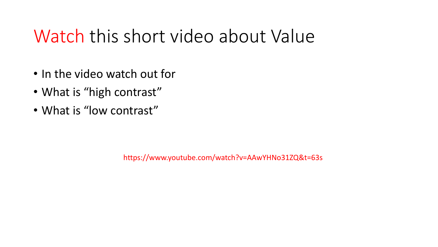#### Watch this short video about Value

- In the video watch out for
- What is "high contrast"
- What is "low contrast"

https://www.youtube.com/watch?v=AAwYHNo31ZQ&t=63s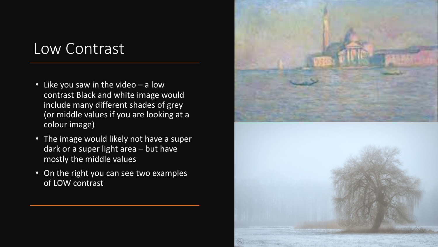#### Low Contrast

- Like you saw in the video a low contrast Black and white image would include many different shades of grey (or middle values if you are looking at a colour image)
- The image would likely not have a super dark or a super light area – but have mostly the middle values
- On the right you can see two examples of LOW contrast

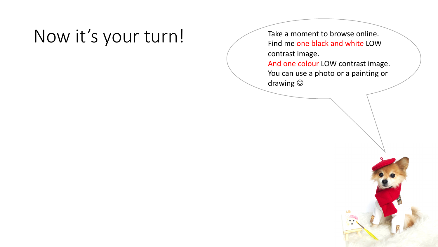#### Now it's your turn! Take a moment to browse online.

Find me one black and white LOW contrast image. And one colour LOW contrast image. You can use a photo or a painting or drawing  $\odot$ 

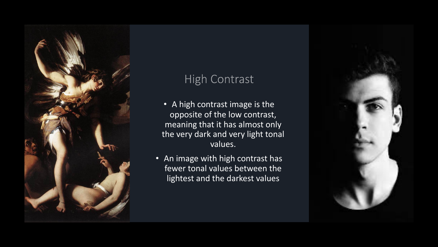

#### **High Contrast**

- A high contrast image is the opposite of the low contrast, meaning that it has almost only the very dark and very light tonal values.
- An image with high contrast has fewer tonal values between the lightest and the darkest values

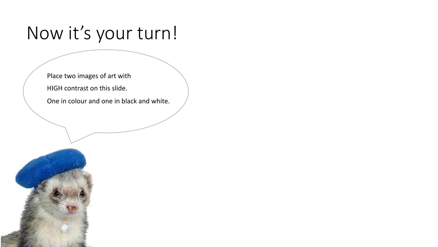#### Now it's your turn!

Place two images of art with

HIGH contrast on this slide.

One in colour and one in black and white.

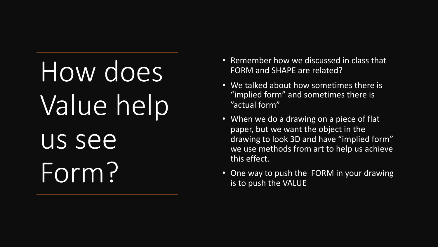# How does Value help us see Form?

- Remember how we discussed in class that FORM and SHAPE are related?
- We talked about how sometimes there is "implied form" and sometimes there is "actual form"
- When we do a drawing on a piece of flat paper, but we want the object in the drawing to look 3D and have "implied form" we use methods from art to help us achieve this effect.
- One way to push the FORM in your drawing is to push the VALUE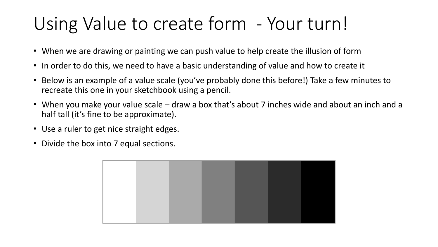### Using Value to create form - Your turn!

- When we are drawing or painting we can push value to help create the illusion of form
- In order to do this, we need to have a basic understanding of value and how to create it
- Below is an example of a value scale (you've probably done this before!) Take a few minutes to recreate this one in your sketchbook using a pencil.
- When you make your value scale draw a box that's about 7 inches wide and about an inch and a half tall (it's fine to be approximate).
- Use a ruler to get nice straight edges.
- Divide the box into 7 equal sections.

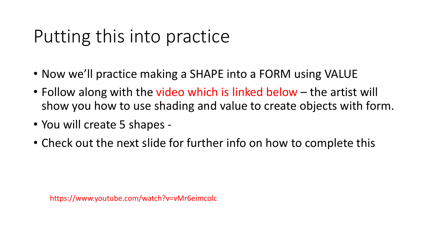### Putting this into practice

- Now we'll practice making a SHAPE into a FORM using VALUE
- Follow along with the video which is linked below the artist will show you how to use shading and value to create objects with form.
- You will create 5 shapes -
- Check out the next slide for further info on how to complete this

https://www.youtube.com/watch?v=vMr6eimcolc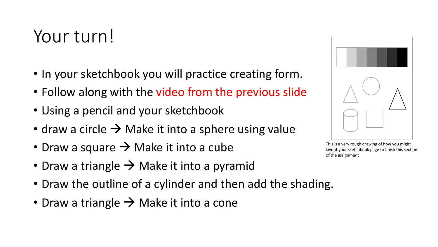#### Your turn!

- In your sketchbook you will practice creating form.
- Follow along with the video from the previous slide
- Using a pencil and your sketchbook
- draw a circle  $\rightarrow$  Make it into a sphere using value
- Draw a square  $\rightarrow$  Make it into a cube
- Draw a triangle  $\rightarrow$  Make it into a pyramid
- Draw the outline of a cylinder and then add the shading.
- Draw a triangle  $\rightarrow$  Make it into a cone



This is a very rough drawing of how you might layout your sketchbook page to finish this section of the assignment